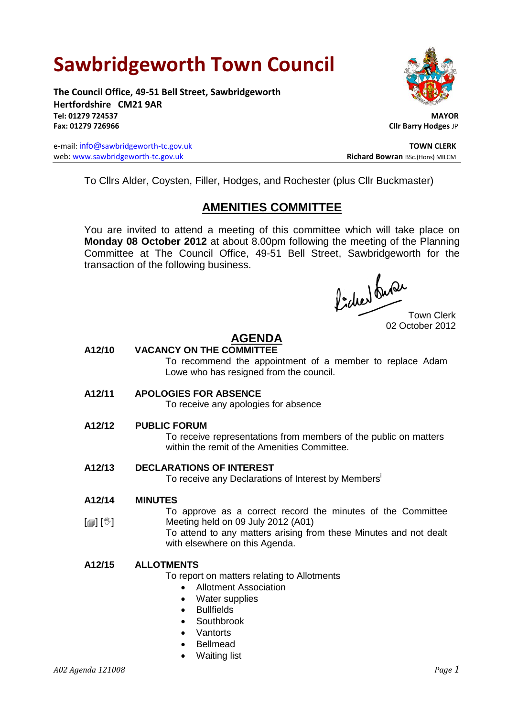# **Sawbridgeworth Town Council**

**The Council Office, 49-51 Bell Street, Sawbridgeworth Hertfordshire CM21 9AR Tel: 01279 724537 MAYOR Fax: 01279 726966 Cllr Barry Hodges** JP

e-mail: info@sawbridgeworth-tc.gov.uk **TOWN CLERK** web: www.sawbridgeworth-tc.gov.uk<br> **Richard Bowran** BSc.(Hons) MILCM



To Cllrs Alder, Coysten, Filler, Hodges, and Rochester (plus Cllr Buckmaster)

# **AMENITIES COMMITTEE**

You are invited to attend a meeting of this committee which will take place on **Monday 08 October 2012** at about 8.00pm following the meeting of the Planning Committee at The Council Office, 49-51 Bell Street, Sawbridgeworth for the transaction of the following business.

fided ture

02 October 2012

## **AGENDA**

#### **A12/10 VACANCY ON THE COMMITTEE**

To recommend the appointment of a member to replace Adam Lowe who has resigned from the council.

#### **A12/11 APOLOGIES FOR ABSENCE**

To receive any apologies for absence

#### **A12/12 PUBLIC FORUM**

To receive representations from members of the public on matters within the remit of the Amenities Committee.

#### **A12/13 DECLARATIONS OF INTEREST**

To receive any Declarations of Interest by Members<sup>i</sup>

#### **A12/14 MINUTES**

 $\lceil$ i $\lceil$ i $\rceil$ 

To approve as a correct record the minutes of the Committee Meeting held on 09 July 2012 (A01)

To attend to any matters arising from these Minutes and not dealt with elsewhere on this Agenda.

### **A12/15 ALLOTMENTS**

To report on matters relating to Allotments

- Allotment Association
- Water supplies
- Bullfields
- Southbrook
- **Vantorts**
- Bellmead
- Waiting list